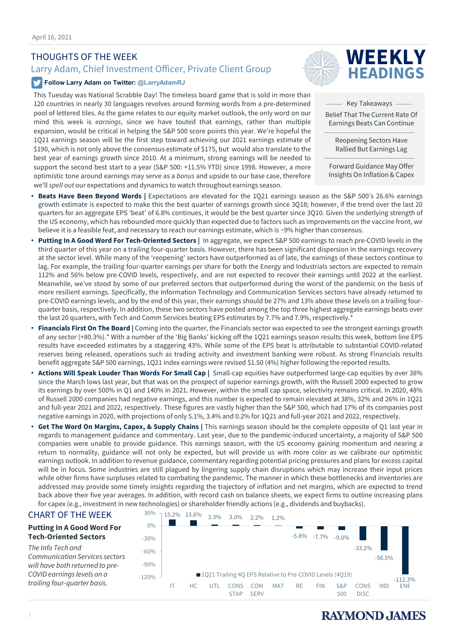# THOUGHTS OF THE WEEK

# Larry Adam, Chief Investment Officer, Private Client Group

# **Follow Larry Adam on Twitter: @LarryAdamRJ**

This Tuesday was National Scrabble Day! The timeless board game that is sold in more than 120 countries in nearly 30 languages revolves around forming words from a pre-determined pool of lettered tiles. As the game relates to our equity market outlook, the only word on our mind this week is *earnings*, since we have touted that earnings, rather than multiple expansion, would be critical in helping the S&P 500 score points this year. We're hopeful the 1Q21 earnings season will be the first step toward achieving our 2021 earnings estimate of \$190, which is not only above the consensus estimate of \$175, but would also translate to the best year of earnings growth since 2010. At a minimum, strong earnings will be needed to support the second best start to a year (S&P 500: +11.5% YTD) since 1998. However, a more optimistic tone around earnings may serve as a *bonus* and upside to our base case, therefore we'll *spell out* our expectations and dynamics to watch throughout earnings season.



Key Takeaways

Belief That The Current Rate Of Earnings Beats Can Continue

> Reopening Sectors Have Rallied But Earnings Lag

Forward Guidance May Offer Insights On Inflation & Capex

- **Beats Have Been Beyond Words |** Expectations are elevated for the 1Q21 earnings season as the S&P 500's 26.6% earnings growth estimate is expected to make this the best quarter of earnings growth since 3Q18; however, if the trend over the last 20 quarters for an aggregate EPS 'beat' of 6.8% continues, it would be the best quarter since 3Q10. Given the underlying strength of the US economy, which has rebounded more quickly than expected due to factors such as improvements on the vaccine front, we believe it is a feasible feat, and necessary to reach our earnings estimate, which is ~9% higher than consensus.
- **Putting In A Good Word For Tech-Oriented Sectors |** In aggregate, we expect S&P 500 earnings to reach pre-COVID levels in the third quarter of this year on a trailing four-quarter basis. However, there has been significant dispersion in the earnings recovery at the sector level. While many of the 'reopening' sectors have outperformed as of late, the earnings of these sectors continue to lag. For example, the trailing four-quarter earnings per share for both the Energy and Industrials sectors are expected to remain 112% and 56% below pre-COVID levels, respectively, and are not expected to recover their earnings until 2022 at the earliest. Meanwhile, we've stood by some of our preferred sectors that outperformed during the worst of the pandemic on the basis of more resilient earnings. Specifically, the Information Technology and Communication Services sectors have already returned to pre-COVID earnings levels, and by the end of this year, their earnings should be 27% and 13% above these levels on a trailing fourquarter basis, respectively. In addition, these two sectors have posted among the top three highest aggregate earnings beats over the last 20 quarters, with Tech and Comm Services beating EPS estimates by 7.7% and 7.9%, respectively.<sup>\*</sup>
- **Financials First On The Board |** Coming into the quarter, the Financials sector was expected to see the strongest earnings growth of any sector (+80.3%).\* With a number of the 'Big Banks' kicking off the 1Q21 earnings season results this week, bottom line EPS results have exceeded estimates by a staggering 43%. While some of the EPS beat is attributable to substantial COVID-related reserves being released, operations such as trading activity and investment banking were robust. As strong Financials results benefit aggregate S&P 500 earnings, 1Q21 index earnings were revised \$1.50 (4%) higher following the reported results.
- **Actions Will Speak Louder Than Words For Small Cap |** Small-cap equities have outperformed large-cap equities by over 38% since the March lows last year, but that was on the prospect of superior earnings growth, with the Russell 2000 expected to grow its earnings by over 500% in Q1 and 140% in 2021. However, within the small cap space, selectivity remains critical. In 2020, 48% of Russell 2000 companies had negative earnings, and this number is expected to remain elevated at 38%, 32% and 26% in 1Q21 and full-year 2021 and 2022, respectively. These figures are vastly higher than the S&P 500, which had 17% of its companies post negative earnings in 2020, with projections of only 5.1%, 3.4% and 0.2% for 1Q21 and full-year 2021 and 2022, respectively.
- **Get The Word On Margins, Capex, & Supply Chains |** This earnings season should be the complete opposite of Q1 last year in regards to management guidance and commentary. Last year, due to the pandemic-induced uncertainty, a majority of S&P 500 companies were unable to provide guidance. This earnings season, with the US economy gaining momentum and nearing a return to normality, guidance will not only be expected, but will provide us with more color as we calibrate our optimistic earnings outlook. In addition to revenue guidance, commentary regarding potential pricing pressures and plans for excess capital will be in focus. Some industries are still plagued by lingering supply chain disruptions which may increase their input prices while other firms have surpluses related to combating the pandemic. The manner in which these bottlenecks and inventories are addressed may provide some timely insights regarding the trajectory of inflation and net margins, which are expected to trend back above their five year averages. In addition, with record cash on balance sheets, we expect firms to outline increasing plans for capex (e.g., investment in new technologies) or shareholder friendly actions (e.g., dividends and buybacks).

# CHART OF THE WEEK

#### **Putting In A Good Word For Tech-Oriented Sectors**

*The Info Tech and Communication Services sectors will have both returned to pre-COVID earnings levels on a trailing four-quarter basis.*



# **RAYMOND, JAMES**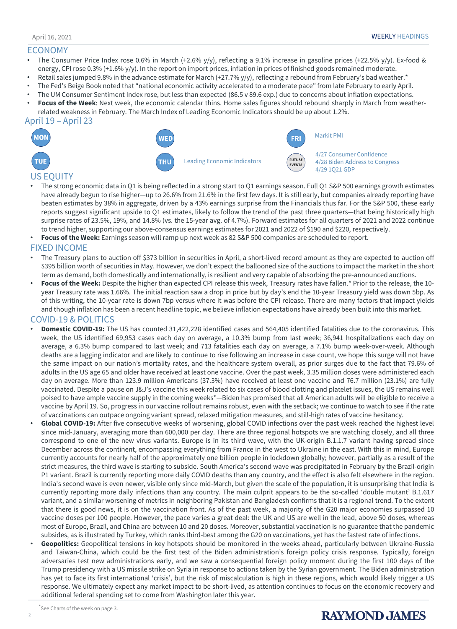## ECONOMY

- The Consumer Price Index rose 0.6% in March (+2.6% y/y), reflecting a 9.1% increase in gasoline prices (+22.5% y/y). Ex-food & energy, CPI rose 0.3% (+1.6% y/y). In the report on import prices, inflation in prices of finished goods remained moderate.
- Retail sales jumped 9.8% in the advance estimate for March (+27.7% y/y), reflecting a rebound from February's bad weather.\*
- The Fed's Beige Book noted that "national economic activity accelerated to a moderate pace" from late February to early April.
- The UM Consumer Sentiment Index rose, but less than expected (86.5 v 89.6 exp.) due to concerns about inflation expectations.
- **Focus of the Week**: Next week, the economic calendar thins. Home sales figures should rebound sharply in March from weatherrelated weakness in February. The March Index of Leading Economic Indicators should be up about 1.2%.





# US EQUITY

- The strong economic data in Q1 is being reflected in a strong start to Q1 earnings season. Full Q1 S&P 500 earnings growth estimates have already begun to rise higher—up to 26.6% from 21.6% in the first few days. It is still early, but companies already reporting have beaten estimates by 38% in aggregate, driven by a 43% earnings surprise from the Financials thus far. For the S&P 500, these early reports suggest significant upside to Q1 estimates, likely to follow the trend of the past three quarters—that being historically high surprise rates of 23.5%, 19%, and 14.8% (vs. the 15-year avg. of 4.7%). Forward estimates for all quarters of 2021 and 2022 continue to trend higher, supporting our above-consensus earnings estimates for 2021 and 2022 of \$190 and \$220, respectively.
- **Focus of the Week:** Earnings season will ramp up next week as 82 S&P 500 companies are scheduled to report.

## FIXED INCOME

- The Treasury plans to auction off \$373 billion in securities in April, a short-lived record amount as they are expected to auction off \$395 billion worth of securities in May. However, we don't expect the ballooned size of the auctions to impact the market in the short term as demand, both domestically and internationally, is resilient and very capable of absorbing the pre-announced auctions.
- **Focus of the Week:** Despite the higher than expected CPI release this week, Treasury rates have fallen.\* Prior to the release, the 10 year Treasury rate was 1.66%. The initial reaction saw a drop in price but by day's end the 10-year Treasury yield was down 5bp. As of this writing, the 10-year rate is down 7bp versus where it was before the CPI release. There are many factors that impact yields and though inflation has been a recent headline topic, we believe inflation expectations have already been built into this market.

# COVID-19 & POLITICS

- **Domestic COVID-19:** The US has counted 31,422,228 identified cases and 564,405 identified fatalities due to the coronavirus. This week, the US identified 69,953 cases each day on average, a 10.3% bump from last week; 36,941 hospitalizations each day on average, a 6.3% bump compared to last week; and 713 fatalities each day on average, a 7.1% bump week-over-week. Although deaths are a lagging indicator and are likely to continue to rise following an increase in case count, we hope this surge will not have the same impact on our nation's mortality rates, and the healthcare system overall, as prior surges due to the fact that 79.6% of adults in the US age 65 and older have received at least one vaccine. Over the past week, 3.35 million doses were administered each day on average. More than 123.9 million Americans (37.3%) have received at least one vaccine and 76.7 million (23.1%) are fully vaccinated. Despite a pause on J&J's vaccine this week related to six cases of blood clotting and platelet issues, the US remains well poised to have ample vaccine supply in the coming weeks\*—Biden has promised that all American adults will be eligible to receive a vaccine by April 19. So, progress in our vaccine rollout remains robust, even with the setback; we continue to watch to see if the rate of vaccinations can outpace ongoing variant spread, relaxed mitigation measures, and still-high rates of vaccine hesitancy.
- **Global COVID-19:** After five consecutive weeks of worsening, global COVID infections over the past week reached the highest level since mid-January, averaging more than 600,000 per day. There are three regional hotspots we are watching closely, and all three correspond to one of the new virus variants. Europe is in its third wave, with the UK-origin B.1.1.7 variant having spread since December across the continent, encompassing everything from France in the west to Ukraine in the east. With this in mind, Europe currently accounts for nearly half of the approximately one billion people in lockdown globally; however, partially as a result of the strict measures, the third wave is starting to subside. South America's second wave was precipitated in February by the Brazil-origin P1 variant. Brazil is currently reporting more daily COVID deaths than any country, and the effect is also felt elsewhere in the region. India's second wave is even newer, visible only since mid-March, but given the scale of the population, it is unsurprising that India is currently reporting more daily infections than any country. The main culprit appears to be the so-called 'double mutant' B.1.617 variant, and a similar worsening of metrics in neighboring Pakistan and Bangladesh confirms that it is a regional trend. To the extent that there is good news, it is on the vaccination front. As of the past week, a majority of the G20 major economies surpassed 10 vaccine doses per 100 people. However, the pace varies a great deal: the UK and US are well in the lead, above 50 doses, whereas most of Europe, Brazil, and China are between 10 and 20 doses. Moreover, substantial vaccination is no guarantee that the pandemic subsides, as is illustrated by Turkey, which ranks third-best among the G20 on vaccinations, yet has the fastest rate of infections.
- **Geopolitics:** Geopolitical tensions in key hotspots should be monitored in the weeks ahead, particularly between Ukraine-Russia and Taiwan-China, which could be the first test of the Biden administration's foreign policy crisis response. Typically, foreign adversaries test new administrations early, and we saw a consequential foreign policy moment during the first 100 days of the Trump presidency with a US missile strike on Syria in response to actions taken by the Syrian government. The Biden administration has yet to face its first international 'crisis', but the risk of miscalculation is high in these regions, which would likely trigger a US response. We ultimately expect any market impact to be short-lived, as attention continues to focus on the economic recovery and additional federal spending set to come from Washington later this year.

# **RAYMOND JAMES**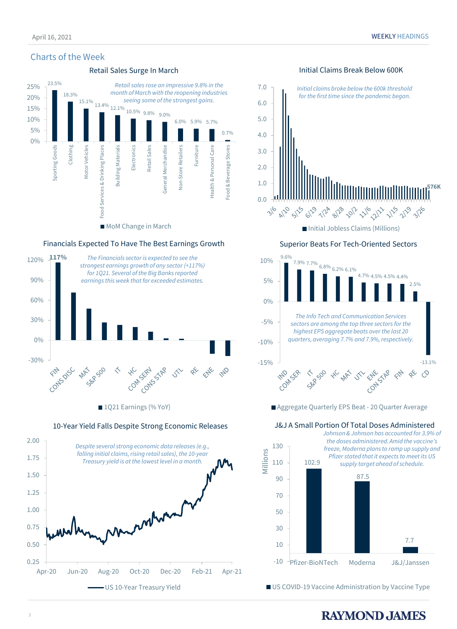# Charts of the Week



## Financials Expected To Have The Best Earnings Growth



1Q21 Earnings (% YoY)

2.00 *Despite several strong economic data releases (e.g., falling initial claims, rising retail sales), the 10-year*  1.75 *Treasury yield is at the lowest level in a month.*  1.50 1.25 1.00 mbra 0.75 0.50 0.25 Apr-20 Jun-20 Aug-20 Oct-20 Dec-20 Feb-21 Apr-21 – US 10-Year Treasury Yield

## 10-Year Yield Falls Despite Strong Economic Releases



■ Initial Jobless Claims (Millions)

# Superior Beats For Tech-Oriented Sectors



Aggregate Quarterly EPS Beat - 20 Quarter Average

# J&J A Small Portion Of Total Doses Administered



US COVID-19 Vaccine Administration by Vaccine Type

# **RAYMOND JAMES**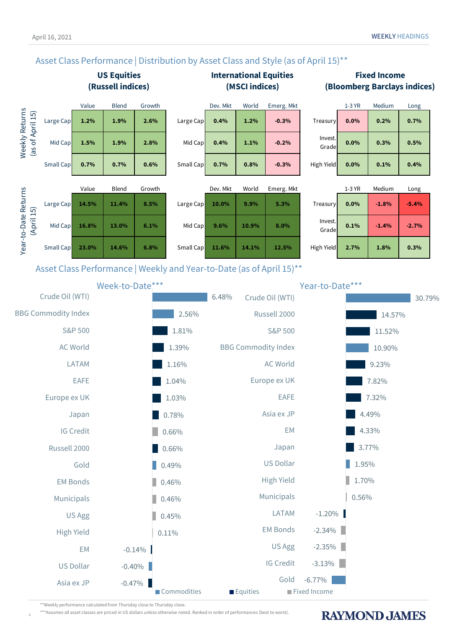# Asset Class Performance | Distribution by Asset Class and Style (as of April 15)<sup>\*\*</sup>





0.11%

 $\big| 0.45\%$ 

0.46%

0.46%

0.49%

0.66%

0.66%

0.78%

1.03%

1.04%

**RAYMOND JAMES** 

0.56%

1.70%

1.95%

3.77%

4.33%

4.49%

7.32%

7.82%

-3.13%

-2.35%

-2.34%

EM Bonds

Municipals

High Yield

US Dollar

Asia ex JP

Europe ex UK

Japan

EM

EAFE

LATAM

-1.20%

\*\*Weekly performance calculated from Thursday close to Thursday close.

High Yield

Municipals

EM Bonds

Russell 2000

Europe ex UK

IG Credit

Japan

EAFE

Gold

US Agg

\*\*\*Assumes all asset classes are priced in US dollars unless otherwise noted. Ranked in order of performances (best to worst).

4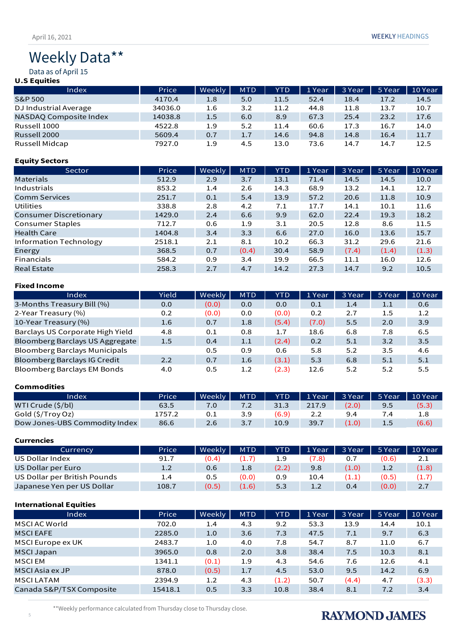# Weekly Data\*\*

Data as of April 15

# **U.S Equities**

| Index                  | Price   | Weekly | <b>MTD</b> | <b>YTD</b> | 1 Year | 3 Year | 5 Year | 10 Year |
|------------------------|---------|--------|------------|------------|--------|--------|--------|---------|
| S&P 500                | 4170.4  | 1.8    | 5.0        | 11.5       | 52.4   | 18.4   | 17.2   | 14.5    |
| DJ Industrial Average  | 34036.0 | 1.6    | 3.2        | 11.2       | 44.8   | 11.8   | 13.7   | 10.7    |
| NASDAQ Composite Index | 14038.8 | 1.5    | 6.0        | 8.9        | 67.3   | 25.4   | 23.2   | 17.6    |
| Russell 1000           | 4522.8  | 1.9    | 5.2        | 11.4       | 60.6   | 17.3   | 16.7   | 14.0    |
| Russell 2000           | 5609.4  | 0.7    | 1.7        | 14.6       | 94.8   | 14.8   | 16.4   | 11.7    |
| Russell Midcap         | 7927.0  | 1.9    | 4.5        | 13.0       | 73.6   | 14.7   | 14.7   | 12.5    |

## **Equity Sectors**

| Sector                  | Price  | Weekly | <b>MTD</b> | <b>YTD</b> | 1 Year | 3 Year | 5 Year | 10 Year |
|-------------------------|--------|--------|------------|------------|--------|--------|--------|---------|
| Materials               | 512.9  | 2.9    | 3.7        | 13.1       | 71.4   | 14.5   | 14.5   | 10.0    |
| Industrials             | 853.2  | 1.4    | 2.6        | 14.3       | 68.9   | 13.2   | 14.1   | 12.7    |
| <b>Comm Services</b>    | 251.7  | 0.1    | 5.4        | 13.9       | 57.2   | 20.6   | 11.8   | 10.9    |
| Utilities               | 338.8  | 2.8    | 4.2        | 7.1        | 17.7   | 14.1   | 10.1   | 11.6    |
| Consumer Discretionary  | 1429.0 | 2.4    | 6.6        | 9.9        | 62.0   | 22.4   | 19.3   | 18.2    |
| <b>Consumer Staples</b> | 712.7  | 0.6    | 1.9        | 3.1        | 20.5   | 12.8   | 8.6    | 11.5    |
| <b>Health Care</b>      | 1404.8 | 3.4    | 3.3        | 6.6        | 27.0   | 16.0   | 13.6   | 15.7    |
| Information Technology  | 2518.1 | 2.1    | 8.1        | 10.2       | 66.3   | 31.2   | 29.6   | 21.6    |
| Energy                  | 368.5  | 0.7    | (0.4)      | 30.4       | 58.9   | (7.4)  | (1.4)  | (1.3)   |
| Financials              | 584.2  | 0.9    | 3.4        | 19.9       | 66.5   | 11.1   | 16.0   | 12.6    |
| <b>Real Estate</b>      | 258.3  | 2.7    | 4.7        | 14.2       | 27.3   | 14.7   | 9.2    | 10.5    |

### **Fixed Income**

| Index                                | Yield | Weekly | <b>MTD</b> | <b>YTD</b> | 1 Year | 3 Year | 5 Year  | 10 Year          |
|--------------------------------------|-------|--------|------------|------------|--------|--------|---------|------------------|
| 3-Months Treasury Bill (%)           | 0.0   | (0.0)  | 0.0        | 0.0        | 0.1    | 1.4    | 1.1     | 0.6              |
| 2-Year Treasury (%)                  | 0.2   | (0.0)  | 0.0        | (0.0)      | 0.2    | 2.7    | $1.5\,$ | 1.2 <sub>2</sub> |
| 10-Year Treasury (%)                 | 1.6   | 0.7    | 1.8        | (5.4)      | (7.0)  | 5.5    | 2.0     | 3.9              |
| Barclays US Corporate High Yield     | 4.8   | 0.1    | 0.8        | 1.7        | 18.6   | 6.8    | 7.8     | 6.5              |
| Bloomberg Barclays US Aggregate      | 1.5   | 0.4    | 1.1        | (2.4)      | 0.2    | 5.1    | 3.2     | 3.5              |
| <b>Bloomberg Barclays Municipals</b> |       | 0.5    | 0.9        | 0.6        | 5.8    | 5.2    | 3.5     | 4.6              |
| <b>Bloomberg Barclays IG Credit</b>  | 2.2   | 0.7    | 1.6        | (3.1)      | 5.3    | 6.8    | 5.1     | 5.1              |
| <b>Bloomberg Barclays EM Bonds</b>   | 4.0   | 0.5    | 1.2        | (2.3)      | 12.6   | 5.2    | 5.2     | 5.5              |

# **Commodities**

| Index                         | Price  | Weekly | <b>MTD</b> | YTD   | 1 Year | 3 Year | 5 Year | 10 Year          |
|-------------------------------|--------|--------|------------|-------|--------|--------|--------|------------------|
| WTI Crude (\$/bl)             | 63.5   |        |            | 31.3  | 217.9  | (2.0)  | 9.5    | (5.3)            |
| Gold (\$/Troy Oz)             | 1757.2 | 0.1    | 3.9        | (6.9) | 2.2    | 9.4    | 4.′    | 1.8 <sup>°</sup> |
| Dow Jones-UBS Commodity Index | 86.6   | 2.6    | 3.7        | 10.9  | 39.7   | 1.0)   | 1.5    | (6.6)            |

#### **Currencies**

| Currency                     | Price | Weekly | <b>MTD</b> | YTD <sup>'</sup> | 1 Year | 3 Year | 5 Year | 10 Year |
|------------------------------|-------|--------|------------|------------------|--------|--------|--------|---------|
| US Dollar Index              | 91.7  | (0.4)  |            | 1.9              | (7.8)  | 0.7    | (0.6)  | 2.1     |
| US Dollar per Euro           | 1.2   | 0.6    | 1.8        | (2.2)            | 9.8    | (1.0)  | 1.2    | (1.8)   |
| US Dollar per British Pounds | 1.4   | 0.5    | (0.0)      | 0.9              | 10.4   | (1.1)  | (0.5)  | (1.7)   |
| Japanese Yen per US Dollar   | 108.7 | (0.5)  | (1.6)      | 5.3              | 1.2    | 0.4    | (0.0)  | 2.7     |

## **International Equities**

| Index                    | Price   | Weekly | <b>MTD</b> | <b>YTD</b> | 1 Year | 3 Year | 5 Year | 10 Year |
|--------------------------|---------|--------|------------|------------|--------|--------|--------|---------|
| MSCI AC World            | 702.0   | 1.4    | 4.3        | 9.2        | 53.3   | 13.9   | 14.4   | 10.1    |
| <b>MSCIEAFE</b>          | 2285.0  | 1.0    | 3.6        | 7.3        | 47.5   | 7.1    | 9.7    | 6.3     |
| MSCI Europe ex UK        | 2483.7  | 1.0    | 4.0        | 7.8        | 54.7   | 8.7    | 11.0   | 6.7     |
| <b>MSCI Japan</b>        | 3965.0  | 0.8    | 2.0        | 3.8        | 38.4   | 7.5    | 10.3   | 8.1     |
| <b>MSCIEM</b>            | 1341.1  | (0.1)  | 1.9        | 4.3        | 54.6   | 7.6    | 12.6   | 4.1     |
| MSCI Asia ex JP          | 878.0   | (0.5)  | 1.7        | 4.5        | 53.0   | 9.5    | 14.2   | 6.9     |
| <b>MSCILATAM</b>         | 2394.9  | 1.2    | 4.3        | (1.2)      | 50.7   | (4.4)  | 4.7    | (3.3)   |
| Canada S&P/TSX Composite | 15418.1 | 0.5    | 3.3        | 10.8       | 38.4   | 8.1    | 7.2    | 3.4     |

\*\*Weekly performance calculated from Thursday close to Thursday close.

# **RAYMOND JAMES**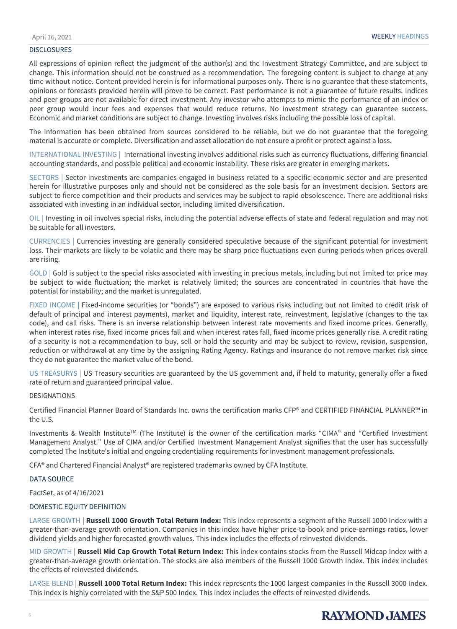#### DISCLOSURES

All expressions of opinion reflect the judgment of the author(s) and the Investment Strategy Committee, and are subject to change. This information should not be construed as a recommendation. The foregoing content is subject to change at any time without notice. Content provided herein is for informational purposes only. There is no guarantee that these statements, opinions or forecasts provided herein will prove to be correct. Past performance is not a guarantee of future results. Indices and peer groups are not available for direct investment. Any investor who attempts to mimic the performance of an index or peer group would incur fees and expenses that would reduce returns. No investment strategy can guarantee success. Economic and market conditions are subject to change. Investing involves risks including the possible loss of capital.

The information has been obtained from sources considered to be reliable, but we do not guarantee that the foregoing material is accurate or complete. Diversification and asset allocation do not ensure a profit or protect against a loss.

INTERNATIONAL INVESTING | International investing involves additional risks such as currency fluctuations, differing financial accounting standards, and possible political and economic instability. These risks are greater in emerging markets.

SECTORS | Sector investments are companies engaged in business related to a specific economic sector and are presented herein for illustrative purposes only and should not be considered as the sole basis for an investment decision. Sectors are subject to fierce competition and their products and services may be subject to rapid obsolescence. There are additional risks associated with investing in an individual sector, including limited diversification.

OIL | Investing in oil involves special risks, including the potential adverse effects of state and federal regulation and may not be suitable for all investors.

CURRENCIES | Currencies investing are generally considered speculative because of the significant potential for investment loss. Their markets are likely to be volatile and there may be sharp price fluctuations even during periods when prices overall are rising.

GOLD | Gold is subject to the special risks associated with investing in precious metals, including but not limited to: price may be subject to wide fluctuation; the market is relatively limited; the sources are concentrated in countries that have the potential for instability; and the market is unregulated.

FIXED INCOME | Fixed-income securities (or "bonds") are exposed to various risks including but not limited to credit (risk of default of principal and interest payments), market and liquidity, interest rate, reinvestment, legislative (changes to the tax code), and call risks. There is an inverse relationship between interest rate movements and fixed income prices. Generally, when interest rates rise, fixed income prices fall and when interest rates fall, fixed income prices generally rise. A credit rating of a security is not a recommendation to buy, sell or hold the security and may be subject to review, revision, suspension, reduction or withdrawal at any time by the assigning Rating Agency. Ratings and insurance do not remove market risk since they do not guarantee the market value of the bond.

US TREASURYS | US Treasury securities are guaranteed by the US government and, if held to maturity, generally offer a fixed rate of return and guaranteed principal value.

#### DESIGNATIONS

Certified Financial Planner Board of Standards Inc. owns the certification marks CFP® and CERTIFIED FINANCIAL PLANNER™ in the U.S.

Investments & Wealth Institute<sup>TM</sup> (The Institute) is the owner of the certification marks "CIMA" and "Certified Investment Management Analyst." Use of CIMA and/or Certified Investment Management Analyst signifies that the user has successfully completed The Institute's initial and ongoing credentialing requirements for investment management professionals.

CFA® and Chartered Financial Analyst® are registered trademarks owned by CFA Institute.

#### DATA SOURCE

FactSet, as of 4/16/2021

#### DOMESTIC EQUITY DEFINITION

LARGE GROWTH | **Russell 1000 Growth Total Return Index:** This index represents a segment of the Russell 1000 Index with a greater-than-average growth orientation. Companies in this index have higher price-to-book and price-earnings ratios, lower dividend yields and higher forecasted growth values. This index includes the effects of reinvested dividends.

MID GROWTH | **Russell Mid Cap Growth Total Return Index:** This index contains stocks from the Russell Midcap Index with a greater-than-average growth orientation. The stocks are also members of the Russell 1000 Growth Index. This index includes the effects of reinvested dividends.

LARGE BLEND | **Russell 1000 Total Return Index:** This index represents the 1000 largest companies in the Russell 3000 Index. This index is highly correlated with the S&P 500 Index. This index includes the effects of reinvested dividends.

# **RAYMOND, JAMES**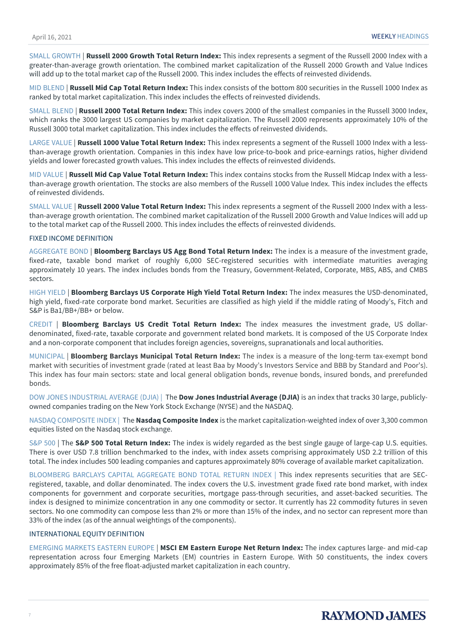SMALL GROWTH | **Russell 2000 Growth Total Return Index:** This index represents a segment of the Russell 2000 Index with a greater-than-average growth orientation. The combined market capitalization of the Russell 2000 Growth and Value Indices will add up to the total market cap of the Russell 2000. This index includes the effects of reinvested dividends.

MID BLEND | **Russell Mid Cap Total Return Index:** This index consists of the bottom 800 securities in the Russell 1000 Index as ranked by total market capitalization. This index includes the effects of reinvested dividends.

SMALL BLEND | **Russell 2000 Total Return Index:** This index covers 2000 of the smallest companies in the Russell 3000 Index, which ranks the 3000 largest US companies by market capitalization. The Russell 2000 represents approximately 10% of the Russell 3000 total market capitalization. This index includes the effects of reinvested dividends.

LARGE VALUE | **Russell 1000 Value Total Return Index:** This index represents a segment of the Russell 1000 Index with a lessthan-average growth orientation. Companies in this index have low price-to-book and price-earnings ratios, higher dividend yields and lower forecasted growth values. This index includes the effects of reinvested dividends.

MID VALUE | **Russell Mid Cap Value Total Return Index:** This index contains stocks from the Russell Midcap Index with a lessthan-average growth orientation. The stocks are also members of the Russell 1000 Value Index. This index includes the effects of reinvested dividends.

SMALL VALUE | **Russell 2000 Value Total Return Index:** This index represents a segment of the Russell 2000 Index with a lessthan-average growth orientation. The combined market capitalization of the Russell 2000 Growth and Value Indices will add up to the total market cap of the Russell 2000. This index includes the effects of reinvested dividends.

#### FIXED INCOME DEFINITION

AGGREGATE BOND | **Bloomberg Barclays US Agg Bond Total Return Index:** The index is a measure of the investment grade, fixed-rate, taxable bond market of roughly 6,000 SEC-registered securities with intermediate maturities averaging approximately 10 years. The index includes bonds from the Treasury, Government-Related, Corporate, MBS, ABS, and CMBS sectors.

HIGH YIELD | **Bloomberg Barclays US Corporate High Yield Total Return Index:** The index measures the USD-denominated, high yield, fixed-rate corporate bond market. Securities are classified as high yield if the middle rating of Moody's, Fitch and S&P is Ba1/BB+/BB+ or below.

CREDIT | **Bloomberg Barclays US Credit Total Return Index:** The index measures the investment grade, US dollardenominated, fixed-rate, taxable corporate and government related bond markets. It is composed of the US Corporate Index and a non-corporate component that includes foreign agencies, sovereigns, supranationals and local authorities.

MUNICIPAL | **Bloomberg Barclays Municipal Total Return Index:** The index is a measure of the long-term tax-exempt bond market with securities of investment grade (rated at least Baa by Moody's Investors Service and BBB by Standard and Poor's). This index has four main sectors: state and local general obligation bonds, revenue bonds, insured bonds, and prerefunded bonds.

DOW JONES INDUSTRIAL AVERAGE (DJIA) | The **Dow Jones Industrial Average (DJIA)** is an index that tracks 30 large, publiclyowned companies trading on the New York Stock Exchange (NYSE) and the NASDAQ.

NASDAQ COMPOSITE INDEX | The **Nasdaq Composite Index** is the market capitalization-weighted index of over 3,300 common equities listed on the Nasdaq stock exchange.

S&P 500 | The **S&P 500 Total Return Index:** The index is widely regarded as the best single gauge of large-cap U.S. equities. There is over USD 7.8 trillion benchmarked to the index, with index assets comprising approximately USD 2.2 trillion of this total. The index includes 500 leading companies and captures approximately 80% coverage of available market capitalization.

BLOOMBERG BARCLAYS CAPITAL AGGREGATE BOND TOTAL RETURN INDEX | This index represents securities that are SECregistered, taxable, and dollar denominated. The index covers the U.S. investment grade fixed rate bond market, with index components for government and corporate securities, mortgage pass-through securities, and asset-backed securities. The index is designed to minimize concentration in any one commodity or sector. It currently has 22 commodity futures in seven sectors. No one commodity can compose less than 2% or more than 15% of the index, and no sector can represent more than 33% of the index (as of the annual weightings of the components).

#### INTERNATIONAL EQUITY DEFINITION

EMERGING MARKETS EASTERN EUROPE | **MSCI EM Eastern Europe Net Return Index:** The index captures large- and mid-cap representation across four Emerging Markets (EM) countries in Eastern Europe. With 50 constituents, the index covers approximately 85% of the free float-adjusted market capitalization in each country.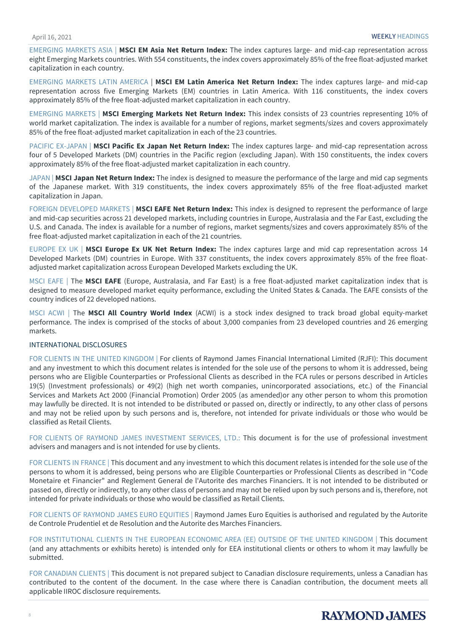EMERGING MARKETS ASIA | **MSCI EM Asia Net Return Index:** The index captures large- and mid-cap representation across eight Emerging Markets countries. With 554 constituents, the index covers approximately 85% of the free float-adjusted market capitalization in each country.

EMERGING MARKETS LATIN AMERICA | **MSCI EM Latin America Net Return Index:** The index captures large- and mid-cap representation across five Emerging Markets (EM) countries in Latin America. With 116 constituents, the index covers approximately 85% of the free float-adjusted market capitalization in each country.

EMERGING MARKETS | **MSCI Emerging Markets Net Return Index:** This index consists of 23 countries representing 10% of world market capitalization. The index is available for a number of regions, market segments/sizes and covers approximately 85% of the free float-adjusted market capitalization in each of the 23 countries.

PACIFIC EX-JAPAN | **MSCI Pacific Ex Japan Net Return Index:** The index captures large- and mid-cap representation across four of 5 Developed Markets (DM) countries in the Pacific region (excluding Japan). With 150 constituents, the index covers approximately 85% of the free float-adjusted market capitalization in each country.

JAPAN | **MSCI Japan Net Return Index:** The index is designed to measure the performance of the large and mid cap segments of the Japanese market. With 319 constituents, the index covers approximately 85% of the free float-adjusted market capitalization in Japan.

FOREIGN DEVELOPED MARKETS | **MSCI EAFE Net Return Index:** This index is designed to represent the performance of large and mid-cap securities across 21 developed markets, including countries in Europe, Australasia and the Far East, excluding the U.S. and Canada. The index is available for a number of regions, market segments/sizes and covers approximately 85% of the free float-adjusted market capitalization in each of the 21 countries.

EUROPE EX UK | **MSCI Europe Ex UK Net Return Index:** The index captures large and mid cap representation across 14 Developed Markets (DM) countries in Europe. With 337 constituents, the index covers approximately 85% of the free floatadjusted market capitalization across European Developed Markets excluding the UK.

MSCI EAFE | The **MSCI EAFE** (Europe, Australasia, and Far East) is a free float-adjusted market capitalization index that is designed to measure developed market equity performance, excluding the United States & Canada. The EAFE consists of the country indices of 22 developed nations.

MSCI ACWI | The **MSCI All Country World Index** (ACWI) is a stock index designed to track broad global equity-market performance. The index is comprised of the stocks of about 3,000 companies from 23 developed countries and 26 emerging markets.

## INTERNATIONAL DISCLOSURES

FOR CLIENTS IN THE UNITED KINGDOM | For clients of Raymond James Financial International Limited (RJFI): This document and any investment to which this document relates is intended for the sole use of the persons to whom it is addressed, being persons who are Eligible Counterparties or Professional Clients as described in the FCA rules or persons described in Articles 19(5) (Investment professionals) or 49(2) (high net worth companies, unincorporated associations, etc.) of the Financial Services and Markets Act 2000 (Financial Promotion) Order 2005 (as amended)or any other person to whom this promotion may lawfully be directed. It is not intended to be distributed or passed on, directly or indirectly, to any other class of persons and may not be relied upon by such persons and is, therefore, not intended for private individuals or those who would be classified as Retail Clients.

FOR CLIENTS OF RAYMOND JAMES INVESTMENT SERVICES, LTD.: This document is for the use of professional investment advisers and managers and is not intended for use by clients.

FOR CLIENTS IN FRANCE | This document and any investment to which this document relates is intended for the sole use of the persons to whom it is addressed, being persons who are Eligible Counterparties or Professional Clients as described in "Code Monetaire et Financier" and Reglement General de l'Autorite des marches Financiers. It is not intended to be distributed or passed on, directly or indirectly, to any other class of persons and may not be relied upon by such persons and is, therefore, not intended for private individuals or those who would be classified as Retail Clients.

FOR CLIENTS OF RAYMOND JAMES EURO EQUITIES | Raymond James Euro Equities is authorised and regulated by the Autorite de Controle Prudentiel et de Resolution and the Autorite des Marches Financiers.

FOR INSTITUTIONAL CLIENTS IN THE EUROPEAN ECONOMIC AREA (EE) OUTSIDE OF THE UNITED KINGDOM | This document (and any attachments or exhibits hereto) is intended only for EEA institutional clients or others to whom it may lawfully be submitted.

FOR CANADIAN CLIENTS | This document is not prepared subject to Canadian disclosure requirements, unless a Canadian has contributed to the content of the document. In the case where there is Canadian contribution, the document meets all applicable IIROC disclosure requirements.